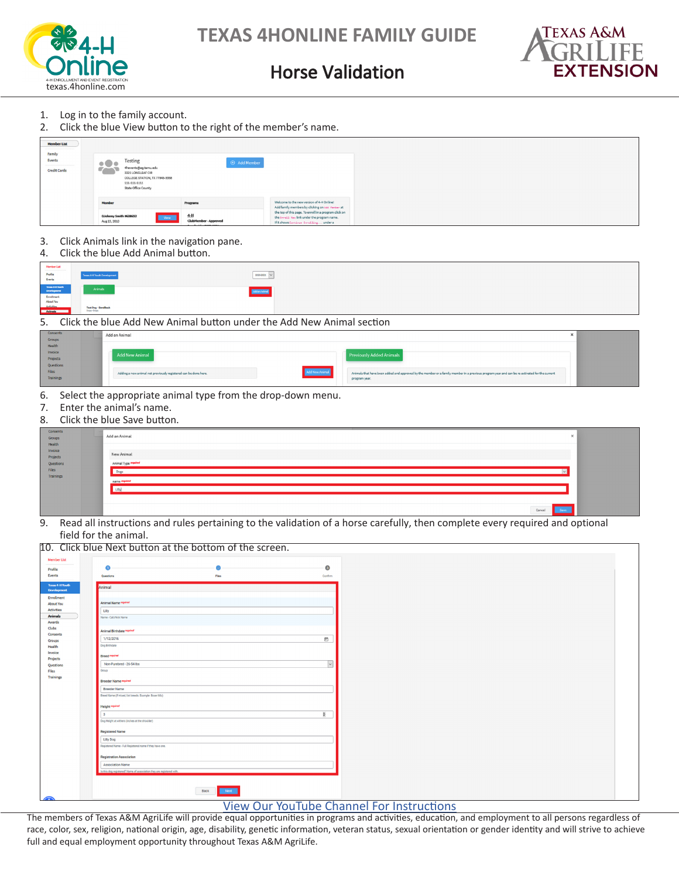



### Horse Validation

- 1. Log in to the family account.
- 2. Click the blue View button to the right of the member's name.

| <b>Member List</b>                      |                                                 |                                                                                                                               |                                                                                |                                                                                                                                                                                                                                                |
|-----------------------------------------|-------------------------------------------------|-------------------------------------------------------------------------------------------------------------------------------|--------------------------------------------------------------------------------|------------------------------------------------------------------------------------------------------------------------------------------------------------------------------------------------------------------------------------------------|
| Family<br>Events<br><b>Credit Cards</b> | 203                                             | Testing<br>4hevents@ag.tamu.edu<br>3321 LONGLEAF CIR<br>COLLEGE STATION, TX 77845-5958<br>111-111-1111<br>State Office County | $\oplus$ Add Member                                                            |                                                                                                                                                                                                                                                |
|                                         | Member<br>0Johnny Smith #638652<br>Aug 15, 2010 | View                                                                                                                          | Programs<br>$4-H$<br>ClubMember-Approved<br>Constituted from popular agents in | Welcome to the new version of 4-H Online!<br>Add family members by clicking on Add Renber at<br>the top of this page. To enroll in a program click on<br>the Enro11 Now link under the program name.<br>If it shows Continue Enrolling under a |

- 3. Click Animals link in the navigation pane.
- 4. Click the blue Add Animal button.

| MamberList                                                           |                                                                                                                                                                       |  |
|----------------------------------------------------------------------|-----------------------------------------------------------------------------------------------------------------------------------------------------------------------|--|
| Profile<br>Events                                                    | $\begin{array}{ l } \hline \texttt{zero-2021} & \smallsmile \end{array}$<br><b>Texas 4-H Youth Development</b><br>----<br>the company's company's company's company's |  |
| Trom & HTMsch<br>Development<br>Enrollment<br>Articlies<br>Articlies | Animals<br><b>Contract Contract</b>                                                                                                                                   |  |
| Animala 1                                                            | Test Dag - SendBack<br>Dogs - Dogs                                                                                                                                    |  |

5. Click the blue Add New Animal button under the Add New Animal section

| Consents<br>Groups  | Add an Animal                                                                     |                                                                                                                                               |
|---------------------|-----------------------------------------------------------------------------------|-----------------------------------------------------------------------------------------------------------------------------------------------|
| Health              |                                                                                   |                                                                                                                                               |
| Invoice<br>Projects | <b>Add New Animal</b>                                                             | Previously Added Animals                                                                                                                      |
| Questions           |                                                                                   |                                                                                                                                               |
| Files               | Add New Animal<br>Adding a new animal not previously registered can be done here. | Animals that have been added and approved by the member or a family member in a previous program year and can be re-activated for the current |
| Trainings           |                                                                                   | program year.                                                                                                                                 |

- 6. Select the appropriate animal type from the drop-down menu.
- 7. Enter the animal's name.<br>8. Click the blue Save buttor
- Click the blue Save button.

| Invoice<br>New Animal<br>Projects<br>Questions<br>Animal Type reprired<br>Files<br>Dogs<br>Trainings<br>name required | Consents<br>Groups | Add an Animal |  |  |  | - 14 |
|-----------------------------------------------------------------------------------------------------------------------|--------------------|---------------|--|--|--|------|
|                                                                                                                       | Health             |               |  |  |  |      |
|                                                                                                                       |                    |               |  |  |  |      |
|                                                                                                                       |                    |               |  |  |  |      |

9. Read all instructions and rules pertaining to the validation of a horse carefully, then complete every required and optional field for the animal.

| $\bullet$<br>$\bullet$<br>Files<br>Confirm<br>Questions<br>Animal<br><b>Animal Name required</b><br>Lilly<br>Name - Call/Nick Name<br><b>Animal Birthdate required</b><br>1/12/2016<br>$\Box$<br>Dog Birthdate<br><b>Breed</b> required<br>$\vert \vee \vert$<br>Non-Purebred - 26-54 lbs<br>Group<br><b>Breeder Name required</b><br><b>Breeder Name</b><br>Breed Name (if mixed, list breeds. Example: Boxer Mix)<br><b>Height required</b><br>b.<br>$\mathcal{R}$<br>Dog Height at withers (inches at the shoulder)<br><b>Registered Name</b><br><b>Lilly Dog</b><br>Registered Name - Full Registered name if they have one.<br><b>Registration Association</b><br><b>Association Name</b><br>is this dog registered? Name of association they are registered with.<br>Next<br>Back<br><b>View Our YouTube Channel For Instructions</b> |                         | 10. Click blue Next button at the bottom of the screen. |  |  |  |
|---------------------------------------------------------------------------------------------------------------------------------------------------------------------------------------------------------------------------------------------------------------------------------------------------------------------------------------------------------------------------------------------------------------------------------------------------------------------------------------------------------------------------------------------------------------------------------------------------------------------------------------------------------------------------------------------------------------------------------------------------------------------------------------------------------------------------------------------|-------------------------|---------------------------------------------------------|--|--|--|
|                                                                                                                                                                                                                                                                                                                                                                                                                                                                                                                                                                                                                                                                                                                                                                                                                                             | <b>Member List</b>      |                                                         |  |  |  |
|                                                                                                                                                                                                                                                                                                                                                                                                                                                                                                                                                                                                                                                                                                                                                                                                                                             | Profile                 |                                                         |  |  |  |
|                                                                                                                                                                                                                                                                                                                                                                                                                                                                                                                                                                                                                                                                                                                                                                                                                                             | Events                  |                                                         |  |  |  |
|                                                                                                                                                                                                                                                                                                                                                                                                                                                                                                                                                                                                                                                                                                                                                                                                                                             | <b>Texas 4-H Youth</b>  |                                                         |  |  |  |
|                                                                                                                                                                                                                                                                                                                                                                                                                                                                                                                                                                                                                                                                                                                                                                                                                                             | <b>Development</b>      |                                                         |  |  |  |
|                                                                                                                                                                                                                                                                                                                                                                                                                                                                                                                                                                                                                                                                                                                                                                                                                                             | Enrollment<br>About You |                                                         |  |  |  |
|                                                                                                                                                                                                                                                                                                                                                                                                                                                                                                                                                                                                                                                                                                                                                                                                                                             | <b>Activities</b>       |                                                         |  |  |  |
|                                                                                                                                                                                                                                                                                                                                                                                                                                                                                                                                                                                                                                                                                                                                                                                                                                             | <b>Animals</b>          |                                                         |  |  |  |
|                                                                                                                                                                                                                                                                                                                                                                                                                                                                                                                                                                                                                                                                                                                                                                                                                                             | Awards                  |                                                         |  |  |  |
|                                                                                                                                                                                                                                                                                                                                                                                                                                                                                                                                                                                                                                                                                                                                                                                                                                             | Clubs                   |                                                         |  |  |  |
|                                                                                                                                                                                                                                                                                                                                                                                                                                                                                                                                                                                                                                                                                                                                                                                                                                             | Consents<br>Groups      |                                                         |  |  |  |
|                                                                                                                                                                                                                                                                                                                                                                                                                                                                                                                                                                                                                                                                                                                                                                                                                                             | Health                  |                                                         |  |  |  |
|                                                                                                                                                                                                                                                                                                                                                                                                                                                                                                                                                                                                                                                                                                                                                                                                                                             | Invoice                 |                                                         |  |  |  |
|                                                                                                                                                                                                                                                                                                                                                                                                                                                                                                                                                                                                                                                                                                                                                                                                                                             | Projects                |                                                         |  |  |  |
|                                                                                                                                                                                                                                                                                                                                                                                                                                                                                                                                                                                                                                                                                                                                                                                                                                             | Questions               |                                                         |  |  |  |
|                                                                                                                                                                                                                                                                                                                                                                                                                                                                                                                                                                                                                                                                                                                                                                                                                                             | <b>Trainings</b>        |                                                         |  |  |  |
|                                                                                                                                                                                                                                                                                                                                                                                                                                                                                                                                                                                                                                                                                                                                                                                                                                             |                         |                                                         |  |  |  |
|                                                                                                                                                                                                                                                                                                                                                                                                                                                                                                                                                                                                                                                                                                                                                                                                                                             |                         |                                                         |  |  |  |
|                                                                                                                                                                                                                                                                                                                                                                                                                                                                                                                                                                                                                                                                                                                                                                                                                                             |                         |                                                         |  |  |  |
|                                                                                                                                                                                                                                                                                                                                                                                                                                                                                                                                                                                                                                                                                                                                                                                                                                             |                         |                                                         |  |  |  |
|                                                                                                                                                                                                                                                                                                                                                                                                                                                                                                                                                                                                                                                                                                                                                                                                                                             |                         |                                                         |  |  |  |
|                                                                                                                                                                                                                                                                                                                                                                                                                                                                                                                                                                                                                                                                                                                                                                                                                                             |                         |                                                         |  |  |  |
|                                                                                                                                                                                                                                                                                                                                                                                                                                                                                                                                                                                                                                                                                                                                                                                                                                             |                         |                                                         |  |  |  |
|                                                                                                                                                                                                                                                                                                                                                                                                                                                                                                                                                                                                                                                                                                                                                                                                                                             |                         |                                                         |  |  |  |
|                                                                                                                                                                                                                                                                                                                                                                                                                                                                                                                                                                                                                                                                                                                                                                                                                                             |                         |                                                         |  |  |  |
|                                                                                                                                                                                                                                                                                                                                                                                                                                                                                                                                                                                                                                                                                                                                                                                                                                             |                         |                                                         |  |  |  |
|                                                                                                                                                                                                                                                                                                                                                                                                                                                                                                                                                                                                                                                                                                                                                                                                                                             |                         |                                                         |  |  |  |
|                                                                                                                                                                                                                                                                                                                                                                                                                                                                                                                                                                                                                                                                                                                                                                                                                                             |                         |                                                         |  |  |  |
|                                                                                                                                                                                                                                                                                                                                                                                                                                                                                                                                                                                                                                                                                                                                                                                                                                             |                         |                                                         |  |  |  |
|                                                                                                                                                                                                                                                                                                                                                                                                                                                                                                                                                                                                                                                                                                                                                                                                                                             |                         |                                                         |  |  |  |
|                                                                                                                                                                                                                                                                                                                                                                                                                                                                                                                                                                                                                                                                                                                                                                                                                                             |                         |                                                         |  |  |  |
|                                                                                                                                                                                                                                                                                                                                                                                                                                                                                                                                                                                                                                                                                                                                                                                                                                             |                         |                                                         |  |  |  |
|                                                                                                                                                                                                                                                                                                                                                                                                                                                                                                                                                                                                                                                                                                                                                                                                                                             |                         |                                                         |  |  |  |

The members of Texas A&M AgriLife will provide equal opportunities in programs and activities, education, and employment to all persons regardless of race, color, sex, religion, national origin, age, disability, genetic information, veteran status, sexual orientation or gender identity and will strive to achieve full and equal employment opportunity throughout Texas A&M AgriLife.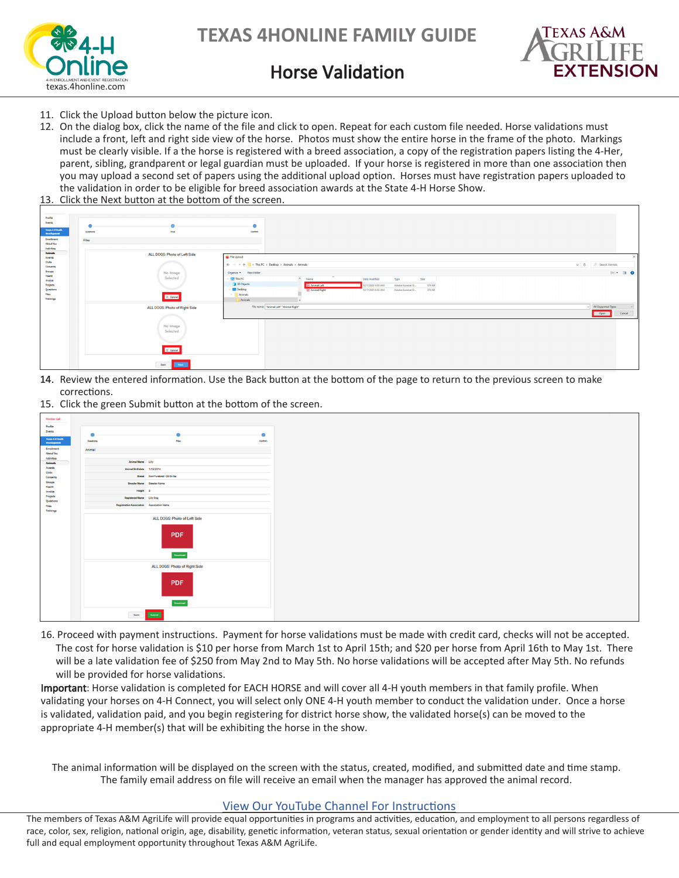



## Horse Validation

- 11. Click the Upload button below the picture icon.
- 12. On the dialog box, click the name of the file and click to open. Repeat for each custom file needed. Horse validations must include a front, left and right side view of the horse. Photos must show the entire horse in the frame of the photo. Markings must be clearly visible. If a the horse is registered with a breed association, a copy of the registration papers listing the 4-Her, parent, sibling, grandparent or legal guardian must be uploaded. If your horse is registered in more than one association then you may upload a second set of papers using the additional upload option. Horses must have registration papers uploaded to the validation in order to be eligible for breed association awards at the State 4-H Horse Show.
- 13. Click the Next button at the bottom of the screen.

| Profile                              |                               |                                                                                                     |                                    |
|--------------------------------------|-------------------------------|-----------------------------------------------------------------------------------------------------|------------------------------------|
| <b>Events</b>                        | G<br>e                        |                                                                                                     |                                    |
| Tous 4 (That's<br><b>Development</b> | Ries<br>Questions             | Continue                                                                                            |                                    |
| <b>Enrolment</b>                     |                               |                                                                                                     |                                    |
| <b>About You</b>                     | Files                         |                                                                                                     |                                    |
| Activities                           |                               |                                                                                                     |                                    |
| Animals                              | ALL DOGS: Photo of Left Side  | <b>C</b> File Upload                                                                                |                                    |
| Awards<br>Clubs                      |                               |                                                                                                     |                                    |
| Consents                             |                               | $\leftarrow$ $\rightarrow$ $\sim$ $\uparrow$ $\blacksquare$ > This PC > Desktop > Animals > Animals | $\smile$ 0 $\smile$ Search Animals |
| Groups                               | No Image                      | Organize - New folder                                                                               | $\mathbb{R}$ . $\blacksquare$<br>0 |
| Health                               | Selected                      | This PC<br>$\sim$<br>Name<br>Date modified<br>Type<br>Size                                          |                                    |
| Invoice<br>Projects                  |                               | 3D Objects<br>[A] Animal Left<br>374 KB<br>2/7/2020 9:38 AM<br>Adobe Acrobat D.                     |                                    |
| Questions                            |                               | Desktop<br>374 KB<br>12/7/2020 9:38 AM<br>A Animal Right<br>Adobe Acrobat D.                        |                                    |
| Files:                               | <b>D</b> Upload               | $\vee$ <b>Animals</b>                                                                               |                                    |
| Trainings                            |                               | Animals                                                                                             |                                    |
|                                      | ALL DOGS: Photo of Right Side | File name: "Animal Left" "Animal Right"                                                             | MI Supported Types                 |
|                                      |                               |                                                                                                     | Open<br>Cancel                     |
|                                      |                               |                                                                                                     |                                    |
|                                      | No Image                      |                                                                                                     |                                    |
|                                      | Selected                      |                                                                                                     |                                    |
|                                      |                               |                                                                                                     |                                    |
|                                      |                               |                                                                                                     |                                    |
|                                      | <b>B</b> Upload               |                                                                                                     |                                    |
|                                      |                               |                                                                                                     |                                    |
|                                      |                               |                                                                                                     |                                    |
|                                      | Red. Next                     |                                                                                                     |                                    |
|                                      |                               |                                                                                                     |                                    |

- 14. Review the entered information. Use the Back button at the bottom of the page to return to the previous screen to make 14. corrections.
- 15. Click the green Submit button at the bottom of the screen.

| Member List                            |                                           |                                                         |               |
|----------------------------------------|-------------------------------------------|---------------------------------------------------------|---------------|
| Profile                                |                                           |                                                         |               |
| Events                                 | $\bullet$                                 | $\bullet$                                               | $\mathcal{L}$ |
| Texas 4-14 Youth<br><b>Development</b> | Questions                                 | Pike.                                                   | Contam        |
| Enrollment                             | Animal                                    |                                                         |               |
| <b>About You</b><br>Activities         |                                           |                                                         |               |
| Animala                                | Animal Name Lilly                         |                                                         |               |
| Awards<br>Clubs                        | Animal Birthdate 1/12/2016                |                                                         |               |
| Consenta                               |                                           | Breed Non-Purebred - 26-54 lbs                          |               |
| Groups<br>Health                       |                                           | Greeder Name Greeder Name                               |               |
| Invoice                                |                                           | Height 3                                                |               |
| Projects<br>Questions                  | Registered Name Lilly Dog                 |                                                         |               |
| Files                                  | Registration Association Association Name |                                                         |               |
| Trainings                              |                                           |                                                         |               |
|                                        |                                           | ALL DOGS: Photo of Left Side<br><b>PDF</b><br>Download  |               |
|                                        |                                           | ALL DOGS: Photo of Right Side<br><b>PDF</b><br>Download |               |
|                                        |                                           | <b>Back Adventure</b>                                   |               |

16. Proceed with payment instructions. Payment for horse validations must be made with credit card, checks will not be accepted. The cost for horse validation is \$10 per horse from March 1st to April 15th; and \$20 per horse from April 16th to May 1st. There will be a late validation fee of \$250 from May 2nd to May 5th. No horse validations will be accepted after May 5th. No refunds will be provided for horse validations.

Important: Horse validation is completed for EACH HORSE and will cover all 4-H youth members in that family profile. When validating your horses on 4-H Connect, you will select only ONE 4-H youth member to conduct the validation under. Once a horse is validated, validation paid, and you begin registering for district horse show, the validated horse(s) can be moved to the appropriate 4-H member(s) that will be exhibiting the horse in the show.

The animal information will be displayed on the screen with the status, created, modified, and submitted date and time stamp. The family email address on file will receive an email when the manager has approved the animal record.

#### [View Our YouTube Channel For Instructions](https://www.youtube.com/playlist?list=PLRLVK_8UTBvfdbDuqCpDOESmtVoZU6tBL)

The members of Texas A&M AgriLife will provide equal opportunities in programs and activities, education, and employment to all persons regardless of race, color, sex, religion, national origin, age, disability, genetic information, veteran status, sexual orientation or gender identity and will strive to achieve full and equal employment opportunity throughout Texas A&M AgriLife.